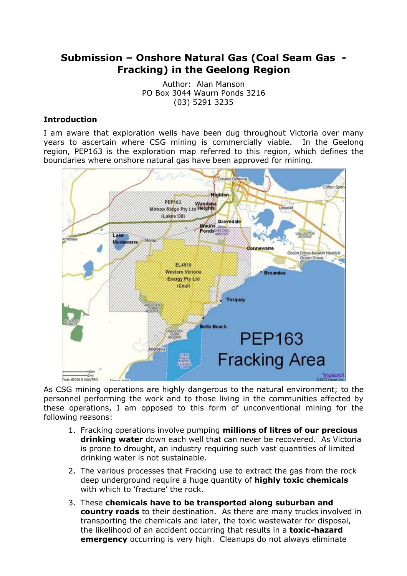# **Submission – Onshore Natural Gas (Coal Seam Gas - Fracking) in the Geelong Region**

Author: Alan Manson PO Box 3044 Waurn Ponds 3216 (03) 5291 3235

### **Introduction**

I am aware that exploration wells have been dug throughout Victoria over many years to ascertain where CSG mining is commercially viable. In the Geelong region, PEP163 is the exploration map referred to this region, which defines the boundaries where onshore natural gas have been approved for mining.



As CSG mining operations are highly dangerous to the natural environment; to the personnel performing the work and to those living in the communities affected by these operations, I am opposed to this form of unconventional mining for the following reasons:

- 1. Fracking operations involve pumping **millions of litres of our precious drinking water** down each well that can never be recovered. As Victoria is prone to drought, an industry requiring such vast quantities of limited drinking water is not sustainable.
- 2. The various processes that Fracking use to extract the gas from the rock deep underground require a huge quantity of **highly toxic chemicals** with which to 'fracture' the rock.
- 3. These **chemicals have to be transported along suburban and country roads** to their destination. As there are many trucks involved in transporting the chemicals and later, the toxic wastewater for disposal, the likelihood of an accident occurring that results in a **toxic-hazard emergency** occurring is very high. Cleanups do not always eliminate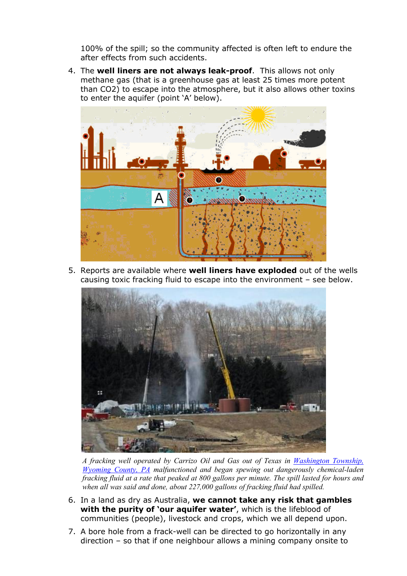100% of the spill; so the community affected is often left to endure the after effects from such accidents.

4. The **well liners are not always leak-proof**. This allows not only methane gas (that is a greenhouse gas at least 25 times more potent than CO2) to escape into the atmosphere, but it also allows other toxins to enter the aquifer (point 'A' below).



5. Reports are available where **well liners have exploded** out of the wells causing toxic fracking fluid to escape into the environment – see below.



*A fracking well operated by Carrizo Oil and Gas out of Texas in Washington Township, Wyoming County, PA malfunctioned and began spewing out dangerously chemical-laden fracking fluid at a rate that peaked at 800 gallons per minute. The spill lasted for hours and when all was said and done, about 227,000 gallons of fracking fluid had spilled.*

- 6. In a land as dry as Australia, **we cannot take any risk that gambles with the purity of 'our aquifer water'**, which is the lifeblood of communities (people), livestock and crops, which we all depend upon.
- 7. A bore hole from a frack-well can be directed to go horizontally in any direction – so that if one neighbour allows a mining company onsite to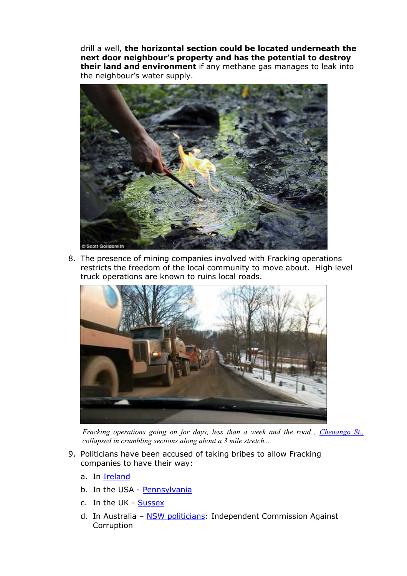drill a well, **the horizontal section could be located underneath the next door neighbour's property and has the potential to destroy their land and environment** if any methane gas manages to leak into the neighbour's water supply.



8. The presence of mining companies involved with Fracking operations restricts the freedom of the local community to move about. High level truck operations are known to ruins local roads.



*Fracking operations going on for days, less than a week and the road , Chenango St., collapsed in crumbling sections along about a 3 mile stretch...*

- 9. Politicians have been accused of taking bribes to allow Fracking companies to have their way:
	- a. In Ireland
	- b. In the USA Pennsylvania
	- c. In the UK Sussex
	- d. In Australia NSW politicians: Independent Commission Against Corruption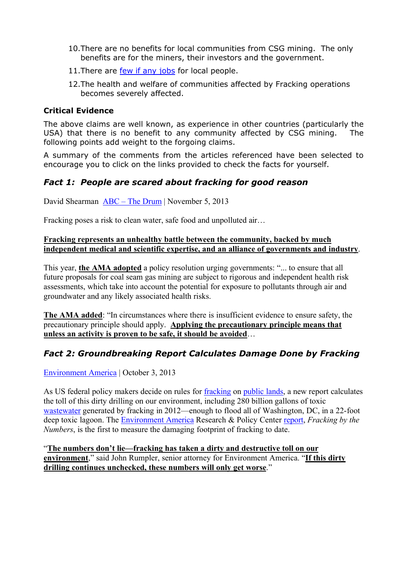- 10.There are no benefits for local communities from CSG mining. The only benefits are for the miners, their investors and the government.
- 11. There are few if any jobs for local people.
- 12.The health and welfare of communities affected by Fracking operations becomes severely affected.

#### **Critical Evidence**

The above claims are well known, as experience in other countries (particularly the USA) that there is no benefit to any community affected by CSG mining. The following points add weight to the forgoing claims.

A summary of the comments from the articles referenced have been selected to encourage you to click on the links provided to check the facts for yourself.

## *Fact 1: People are scared about fracking for good reason*

David Shearman ABC – The Drum | November 5, 2013

Fracking poses a risk to clean water, safe food and unpolluted air…

#### **Fracking represents an unhealthy battle between the community, backed by much independent medical and scientific expertise, and an alliance of governments and industry**.

This year, **the AMA adopted** a policy resolution urging governments: "... to ensure that all future proposals for coal seam gas mining are subject to rigorous and independent health risk assessments, which take into account the potential for exposure to pollutants through air and groundwater and any likely associated health risks.

**The AMA added**: "In circumstances where there is insufficient evidence to ensure safety, the precautionary principle should apply. **Applying the precautionary principle means that unless an activity is proven to be safe, it should be avoided**…

## *Fact 2: Groundbreaking Report Calculates Damage Done by Fracking*

Environment America | October 3, 2013

As US federal policy makers decide on rules for fracking on public lands, a new report calculates the toll of this dirty drilling on our environment, including 280 billion gallons of toxic wastewater generated by fracking in 2012—enough to flood all of Washington, DC, in a 22-foot deep toxic lagoon. The Environment America Research & Policy Center report, *Fracking by the Numbers*, is the first to measure the damaging footprint of fracking to date.

"**The numbers don't lie—fracking has taken a dirty and destructive toll on our environment**," said John Rumpler, senior attorney for Environment America. "**If this dirty drilling continues unchecked, these numbers will only get worse**."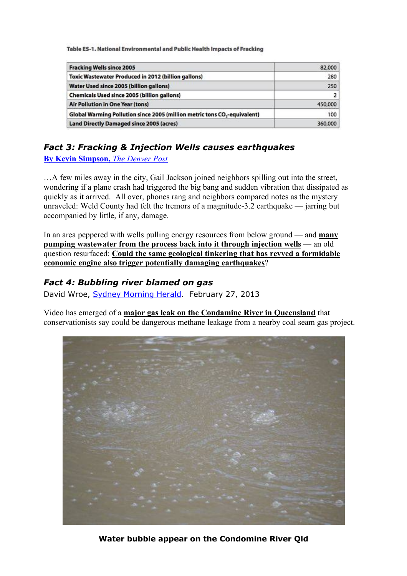Table ES-1. National Environmental and Public Health Impacts of Fracking

| <b>Fracking Wells since 2005</b>                                                      | 82,000  |
|---------------------------------------------------------------------------------------|---------|
| Toxic Wastewater Produced in 2012 (billion gallons)                                   | 280     |
| Water Used since 2005 (billion gallons)                                               | 250     |
| <b>Chemicals Used since 2005 (billion gallons)</b>                                    |         |
| <b>Air Pollution in One Year (tons)</b>                                               | 450,000 |
| Global Warming Pollution since 2005 (million metric tons CO <sub>2</sub> -equivalent) | 100     |
| <b>Land Directly Damaged since 2005 (acres)</b>                                       | 360,000 |

## *Fact 3: Fracking & Injection Wells causes earthquakes*

**By Kevin Simpson,** *The Denver Post*

…A few miles away in the city, Gail Jackson joined neighbors spilling out into the street, wondering if a plane crash had triggered the big bang and sudden vibration that dissipated as quickly as it arrived. All over, phones rang and neighbors compared notes as the mystery unraveled: Weld County had felt the tremors of a magnitude-3.2 earthquake — jarring but accompanied by little, if any, damage.

In an area peppered with wells pulling energy resources from below ground — and **many pumping wastewater from the process back into it through injection wells** — an old question resurfaced: **Could the same geological tinkering that has revved a formidable economic engine also trigger potentially damaging earthquakes**?

## *Fact 4: Bubbling river blamed on gas*

David Wroe, Sydney Morning Herald. February 27, 2013

Video has emerged of a **major gas leak on the Condamine River in Queensland** that conservationists say could be dangerous methane leakage from a nearby coal seam gas project.



**Water bubble appear on the Condomine River Qld**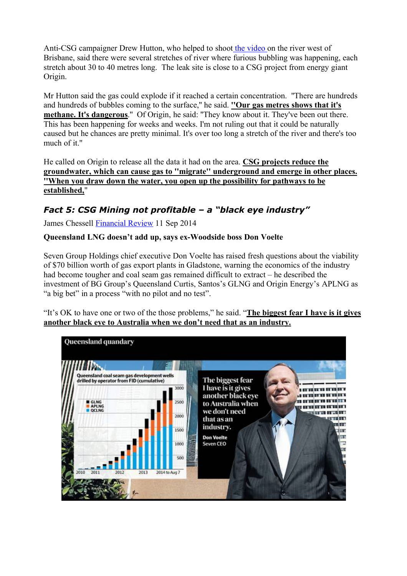Anti-CSG campaigner Drew Hutton, who helped to shoot the video on the river west of Brisbane, said there were several stretches of river where furious bubbling was happening, each stretch about 30 to 40 metres long. The leak site is close to a CSG project from energy giant Origin.

Mr Hutton said the gas could explode if it reached a certain concentration. ''There are hundreds and hundreds of bubbles coming to the surface,'' he said. **''Our gas metres shows that it's methane. It's dangerous**.'' Of Origin, he said: ''They know about it. They've been out there. This has been happening for weeks and weeks. I'm not ruling out that it could be naturally caused but he chances are pretty minimal. It's over too long a stretch of the river and there's too much of it."

He called on Origin to release all the data it had on the area. **CSG projects reduce the groundwater, which can cause gas to ''migrate'' underground and emerge in other places. ''When you draw down the water, you open up the possibility for pathways to be established,**''

# *Fact 5: CSG Mining not profitable – a "black eye industry"*

James Chessell Financial Review 11 Sep 2014

### **Queensland LNG doesn't add up, says ex-Woodside boss Don Voelte**

Seven Group Holdings chief executive Don Voelte has raised fresh questions about the viability of \$70 billion worth of gas export plants in Gladstone, warning the economics of the industry had become tougher and coal seam gas remained difficult to extract – he described the investment of BG Group's Queensland Curtis, Santos's GLNG and Origin Energy's APLNG as "a big bet" in a process "with no pilot and no test".

"It's OK to have one or two of the those problems," he said. "**The biggest fear I have is it gives another black eye to Australia when we don't need that as an industry.**

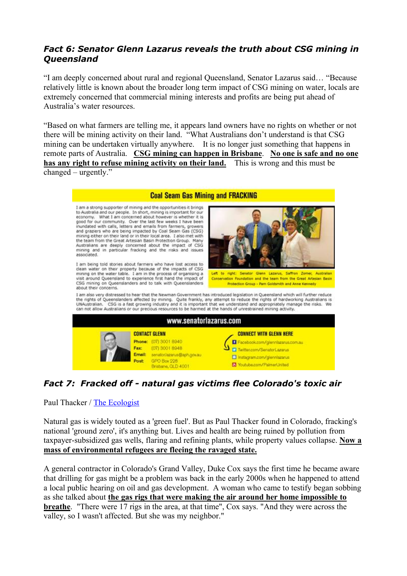# *Fact 6: Senator Glenn Lazarus reveals the truth about CSG mining in Queensland*

"I am deeply concerned about rural and regional Queensland, Senator Lazarus said… "Because relatively little is known about the broader long term impact of CSG mining on water, locals are extremely concerned that commercial mining interests and profits are being put ahead of Australia's water resources.

"Based on what farmers are telling me, it appears land owners have no rights on whether or not there will be mining activity on their land. "What Australians don't understand is that CSG mining can be undertaken virtually anywhere. It is no longer just something that happens in remote parts of Australia. **CSG mining can happen in Brisbane**. **No one is safe and no one has any right to refuse mining activity on their land.** This is wrong and this must be changed – urgently."



# *Fact 7: Fracked off - natural gas victims flee Colorado's toxic air*

Paul Thacker / The Ecologist

Natural gas is widely touted as a 'green fuel'. But as Paul Thacker found in Colorado, fracking's national 'ground zero', it's anything but. Lives and health are being ruined by pollution from taxpayer-subsidized gas wells, flaring and refining plants, while property values collapse. **Now a mass of environmental refugees are fleeing the ravaged state.**

A general contractor in Colorado's Grand Valley, Duke Cox says the first time he became aware that drilling for gas might be a problem was back in the early 2000s when he happened to attend a local public hearing on oil and gas development. A woman who came to testify began sobbing as she talked about **the gas rigs that were making the air around her home impossible to breathe**. "There were 17 rigs in the area, at that time", Cox says. "And they were across the valley, so I wasn't affected. But she was my neighbor."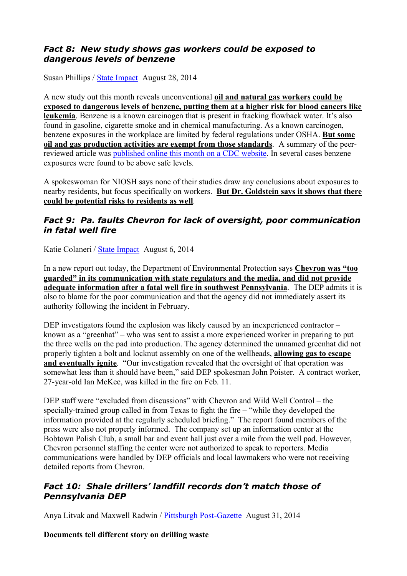# *Fact 8: New study shows gas workers could be exposed to dangerous levels of benzene*

Susan Phillips / State Impact August 28, 2014

A new study out this month reveals unconventional **oil and natural gas workers could be exposed to dangerous levels of benzene, putting them at a higher risk for blood cancers like leukemia**. Benzene is a known carcinogen that is present in fracking flowback water. It's also found in gasoline, cigarette smoke and in chemical manufacturing. As a known carcinogen, benzene exposures in the workplace are limited by federal regulations under OSHA. **But some oil and gas production activities are exempt from those standards**. A summary of the peerreviewed article was published online this month on a CDC website. In several cases benzene exposures were found to be above safe levels.

A spokeswoman for NIOSH says none of their studies draw any conclusions about exposures to nearby residents, but focus specifically on workers. **But Dr. Goldstein says it shows that there could be potential risks to residents as well**.

## *Fact 9: Pa. faults Chevron for lack of oversight, poor communication in fatal well fire*

Katie Colaneri / State Impact August 6, 2014

In a new report out today, the Department of Environmental Protection says **Chevron was "too guarded" in its communication with state regulators and the media, and did not provide adequate information after a fatal well fire in southwest Pennsylvania**. The DEP admits it is also to blame for the poor communication and that the agency did not immediately assert its authority following the incident in February.

DEP investigators found the explosion was likely caused by an inexperienced contractor – known as a "greenhat" – who was sent to assist a more experienced worker in preparing to put the three wells on the pad into production. The agency determined the unnamed greenhat did not properly tighten a bolt and locknut assembly on one of the wellheads, **allowing gas to escape and eventually ignite**. "Our investigation revealed that the oversight of that operation was somewhat less than it should have been," said DEP spokesman John Poister. A contract worker, 27-year-old Ian McKee, was killed in the fire on Feb. 11.

DEP staff were "excluded from discussions" with Chevron and Wild Well Control – the specially-trained group called in from Texas to fight the fire – "while they developed the information provided at the regularly scheduled briefing." The report found members of the press were also not properly informed. The company set up an information center at the Bobtown Polish Club, a small bar and event hall just over a mile from the well pad. However, Chevron personnel staffing the center were not authorized to speak to reporters. Media communications were handled by DEP officials and local lawmakers who were not receiving detailed reports from Chevron.

## *Fact 10: Shale drillers' landfill records don't match those of Pennsylvania DEP*

Anya Litvak and Maxwell Radwin / Pittsburgh Post-Gazette August 31, 2014

**Documents tell different story on drilling waste**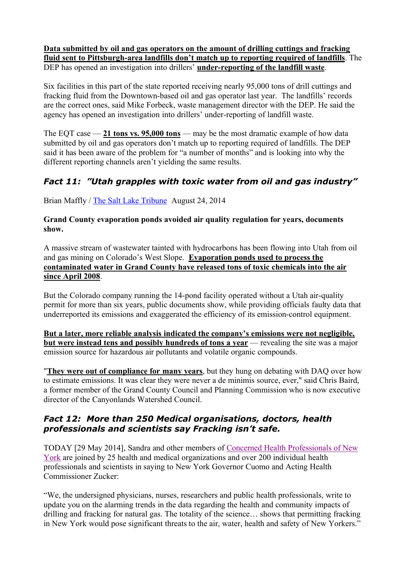**Data submitted by oil and gas operators on the amount of drilling cuttings and fracking fluid sent to Pittsburgh-area landfills don't match up to reporting required of landfills**. The DEP has opened an investigation into drillers' **under-reporting of the landfill waste**.

Six facilities in this part of the state reported receiving nearly 95,000 tons of drill cuttings and fracking fluid from the Downtown-based oil and gas operator last year. The landfills' records are the correct ones, said Mike Forbeck, waste management director with the DEP. He said the agency has opened an investigation into drillers' under-reporting of landfill waste.

The EQT case — **21 tons vs. 95,000 tons** — may be the most dramatic example of how data submitted by oil and gas operators don't match up to reporting required of landfills. The DEP said it has been aware of the problem for "a number of months" and is looking into why the different reporting channels aren't yielding the same results.

# *Fact 11: "Utah grapples with toxic water from oil and gas industry"*

Brian Maffly / The Salt Lake Tribune August 24, 2014

### **Grand County evaporation ponds avoided air quality regulation for years, documents show.**

A massive stream of wastewater tainted with hydrocarbons has been flowing into Utah from oil and gas mining on Colorado's West Slope. **Evaporation ponds used to process the contaminated water in Grand County have released tons of toxic chemicals into the air since April 2008**.

But the Colorado company running the 14-pond facility operated without a Utah air-quality permit for more than six years, public documents show, while providing officials faulty data that underreported its emissions and exaggerated the efficiency of its emission-control equipment.

**But a later, more reliable analysis indicated the company's emissions were not negligible, but were instead tens and possibly hundreds of tons a year** — revealing the site was a major emission source for hazardous air pollutants and volatile organic compounds.

"**They were out of compliance for many years**, but they hung on debating with DAQ over how to estimate emissions. It was clear they were never a de minimis source, ever," said Chris Baird, a former member of the Grand County Council and Planning Commission who is now executive director of the Canyonlands Watershed Council.

## *Fact 12: More than 250 Medical organisations, doctors, health professionals and scientists say Fracking isn't safe.*

TODAY [29 May 2014], Sandra and other members of Concerned Health Professionals of New York are joined by 25 health and medical organizations and over 200 individual health professionals and scientists in saying to New York Governor Cuomo and Acting Health Commissioner Zucker:

"We, the undersigned physicians, nurses, researchers and public health professionals, write to update you on the alarming trends in the data regarding the health and community impacts of drilling and fracking for natural gas. The totality of the science… shows that permitting fracking in New York would pose significant threats to the air, water, health and safety of New Yorkers."